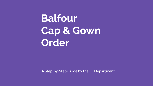# **Balfour Cap & Gown Order**

A Step-by-Step Guide by the EL Department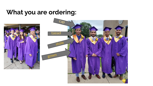### **What you are ordering:**



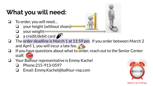### **What you will need:**

- ❏ To order, you will need…
	- ❏ your height (without shoes)
	- ❏ your weight
		- ❏ a credit/debit card
- ❏ The order deadline is March 1 at 11:59 pm. If you order between March 2 and April 1, you will incur a late fee.
- ❏ If you have questions about what to order, reach out to the Senior Center staff.
- ❏ Your Balfour representative is Emmy Kachel
	- ❏ Phone:215-913-0597
	- ❏ Email: Emmy.Kachel@balfour-rep.com



March 1 at 11:59 pm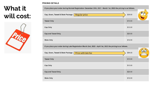#### **PRICING DETAILS**

## **What it**  will cost:



| If you place your order during Normal Registration December 20th, 2021 - March 1st, 2022 the pricing is as follows. |         |  |  |  |
|---------------------------------------------------------------------------------------------------------------------|---------|--|--|--|
| Cap, Gown, Tassel & Stole Package<br><b>Regular price</b>                                                           | \$39.00 |  |  |  |
| <b>Tassel Only</b>                                                                                                  | \$10.00 |  |  |  |
| <b>Cap Only</b>                                                                                                     | \$10.00 |  |  |  |
| <b>Cap and Tassel Only</b>                                                                                          | \$20.00 |  |  |  |
| <b>Stole Only</b>                                                                                                   | \$12.00 |  |  |  |
| If you place your order during Late Registration March 2nd, 2022 - April 1st, 2022 the pricing is as follows.       |         |  |  |  |
|                                                                                                                     |         |  |  |  |
| Cap, Gown, Tassel & Stole Package<br>Price with late fee                                                            | \$54.00 |  |  |  |
| <b>Tassel Only</b>                                                                                                  | \$10.00 |  |  |  |
| Cap Only                                                                                                            | \$10.00 |  |  |  |
| <b>Cap and Tassel Only</b>                                                                                          | \$20.00 |  |  |  |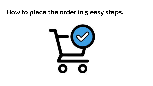### **How to place the order in 5 easy steps.**

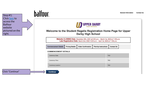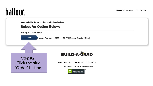# balfour.

**General Information Contact Us** 

Upper Darby High School > Students Registration Page

#### **Select An Option Below:**

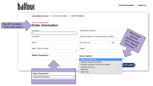## balfour.

Upper Darby High School > Spring 2022 Graduation > Order Information

Step #3: Complete "Order Information"

| Student ID Number (do not enter spaces or dashes) *                                                                                                                 |
|---------------------------------------------------------------------------------------------------------------------------------------------------------------------|
|                                                                                                                                                                     |
| Select your<br>Ext<br>Phone Number*                                                                                                                                 |
| Weight *                                                                                                                                                            |
| <b>Select Option: *</b>                                                                                                                                             |
| $\checkmark$ Select a ceremony first<br>Amethyst Cap and Tassel Only<br>Amethyst Cap Gown Tassel Stole Package<br>eve & Continue<br>Amethyst Cap Only<br>Stole Only |
|                                                                                                                                                                     |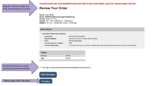#### Step #4: Check to make sure that all information is correct.

\*PLEASE DO NOT USE YOUR BROWSER'S BACK BUTTON! TO EDIT YOUR ORDER, CLICK THE "Edit Information" BUTTON.

#### **Review Your Order**

Name: John Miller Email: 00000000@student.upperdarbysd.org Phone: (484) 111-1111 Height: 6'3" - 6'5" (190.50 cm - 195.58 cm) Weight: 191 lbs - 215 lbs (86.18 Kg - 97.52 Kg)

#### **Order Details**

Cap Gown Tassel Stole Package

| <b>Ceremony:</b>                 | Spring 2022 Graduation                                                                                  |
|----------------------------------|---------------------------------------------------------------------------------------------------------|
| Selected Option:                 | Amethyst Cap Gown Tassel Stole Package                                                                  |
| Price:                           | \$39.00 (Purchase)                                                                                      |
| Commencement Location:           | TBD                                                                                                     |
| <sup>2</sup> ick-Up Instruction: | Your order will ship to the school. Please see communications from the school for pick-up instructions. |
|                                  |                                                                                                         |

| <b>Totals</b>   |         |  |
|-----------------|---------|--|
| <b>Subtotal</b> | \$39.00 |  |
| <b>Total</b>    | \$39.00 |  |
|                 |         |  |

Unclick this button to avoid receiving promotional emails.

When ready, click "Pay Now."

 $\Box$ Yes, sign me up to receive emails on new products and promotions.

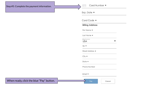#### Step #5: Complete the payment information.

Card Number \*  $\boxed{\Box \cdots}$ 

#### Exp. Date \*

| Card Code * |  |
|-------------|--|
|             |  |

#### **Billing Address**

First Name \*

#### Last Name \*

Billing Country \* **USA** ▼

 $Zip *$ 

Street Address \*

City \*

State \*

Phone Number

Email \*

When ready, click the blue "Pay" button.

Pay

Cancel